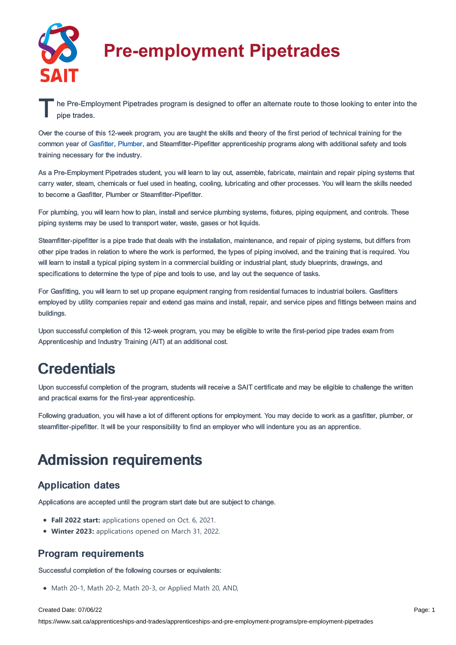

# **Pre-employment Pipetrades**

The Pre-Employment Pipetrades program is designed to offer an alternate route to those looking to enter into the pipe trades. pipe trades.

Over the course of this 12-week program, you are taught the skills and theory of the first period of technical training for the common year of [Gasfitter](https://www.sait.ca/pages/apprenticeships-and-trades/apprenticeships-and-pre-employment-programs/gasfitter), [Plumber,](https://www.sait.ca/pages/apprenticeships-and-trades/apprenticeships-and-pre-employment-programs/plumber) and Steamfitter-Pipefitter apprenticeship programs along with additional safety and tools training necessary for the industry.

As a Pre-Employment Pipetrades student, you will learn to lay out, assemble, fabricate, maintain and repair piping systems that carry water, steam, chemicals or fuel used in heating, cooling, lubricating and other processes. You will learn the skills needed to become a Gasfitter, Plumber or Steamfitter-Pipefitter.

For plumbing, you will learn how to plan, install and service plumbing systems, fixtures, piping equipment, and controls. These piping systems may be used to transport water, waste, gases or hot liquids.

Steamfitter-pipefitter is a pipe trade that deals with the installation, maintenance, and repair of piping systems, but differs from other pipe trades in relation to where the work is performed, the types of piping involved, and the training that is required. You will learn to install a typical piping system in a commercial building or industrial plant, study blueprints, drawings, and specifications to determine the type of pipe and tools to use, and lay out the sequence of tasks.

For Gasfitting, you will learn to set up propane equipment ranging from residential furnaces to industrial boilers. Gasfitters employed by utility companies repair and extend gas mains and install, repair, and service pipes and fittings between mains and buildings.

Upon successful completion of this 12-week program, you may be eligible to write the first-period pipe trades exam from Apprenticeship and Industry Training (AIT) at an additional cost.

### **Credentials**

Upon successful completion of the program, students will receive a SAIT certificate and may be eligible to challenge the written and practical exams for the first-year apprenticeship.

Following graduation, you will have a lot of different options for employment. You may decide to work as a gasfitter, plumber, or steamfitter-pipefitter. It will be your responsibility to find an employer who will indenture you as an apprentice.

## Admission requirements

### Application dates

Applications are accepted until the program start date but are subject to change.

- **Fall 2022 start:** applications opened on Oct. 6, 2021.
- **Winter 2023:** applications opened on March 31, 2022.

### Program requirements

Successful completion of the following courses or equivalents:

Math 20-1, Math 20-2, Math 20-3, or Applied Math 20, AND,

#### Created Date: 07/06/22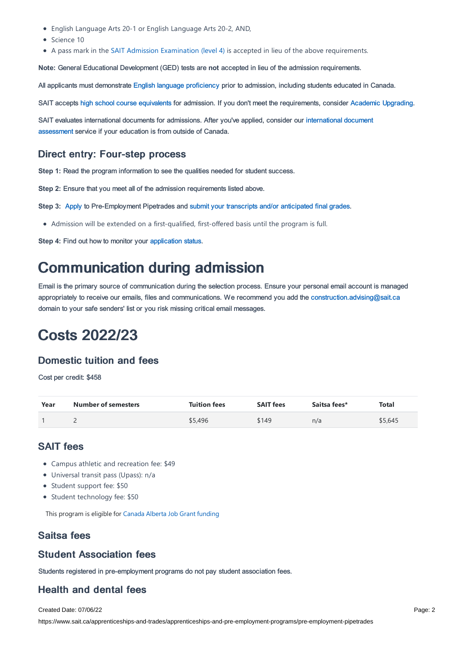- English Language Arts 20-1 or English Language Arts 20-2, AND,
- Crience 10
- A pass mark in the SAIT Admission [Examination](https://www.sait.ca/pages/student-life/learner-services/testing-services) (level 4) is accepted in lieu of the above requirements.

**Note:** General Educational Development (GED) tests are **not** accepted in lieu of the admission requirements.

All applicants must demonstrate English language [proficiency](https://www.sait.ca/pages/admissions/before-you-apply/english-proficiency/english-proficiency) prior to admission, including students educated in Canada.

SAIT accepts high school course [equivalents](https://www.sait.ca/pages/admissions/before-you-apply/high-school-course-equivalencies) for admission. If you don't meet the requirements, consider Academic [Upgrading.](https://www.sait.ca/pages/programs-and-courses/academic-upgrading)

SAIT evaluates [international](https://www.sait.ca/pages/admissions/after-you-apply/international-document-assessment) documents for admissions. After you've applied, consider our international document assessment service if your education is from outside of Canada.

#### Direct entry: Four-step process

**Step 1:** Read the program information to see the qualities needed for student success.

**Step 2:** Ensure that you meet all of the admission requirements listed above.

**Step 3:** [Apply](https://www.sait.ca/pages/admissions/apply) to Pre-Employment Pipetrades and submit your transcripts and/or [anticipated](https://www.sait.ca/pages/admissions/after-you-apply/transcripts-and-supporting-documents) final grades.

Admission will be extended on a first-qualified, first-offered basis until the program is full.

**Step 4:** Find out how to monitor your [application](https://www.sait.ca/pages/admissions/after-you-apply/tracking-your-application) status.

### Communication during admission

Email is the primary source of communication during the selection process. Ensure your personal email account is managed appropriately to receive our emails, files and communications. We recommend you add the [construction.advising@sait.ca](https://sait.camailto:business.advising@sait.ca) domain to your safe senders' list or you risk missing critical email messages.

### Costs 2022/23

### Domestic tuition and fees

Cost per credit: \$458

| Year | <b>Number of semesters</b> | <b>Tuition fees</b> | <b>SAIT fees</b> | Saitsa fees* | <b>Total</b> |
|------|----------------------------|---------------------|------------------|--------------|--------------|
|      |                            | \$5,496             | \$149            | n/a          | \$5,645      |

### SAIT fees

- Campus athletic and recreation fee: \$49
- Universal transit pass (Upass): n/a
- Student support fee: \$50
- Student technology fee: \$50

This program is eligible for Canada Alberta Job Grant [funding](https://www.sait.ca/business-and-industry/canada-alberta-job-grant)

#### Saitsa fees

#### Student Association fees

Students registered in pre-employment programs do not pay student association fees.

### Health and dental fees

Created Date: 07/06/22

https://www.sait.ca/apprenticeships-and-trades/apprenticeships-and-pre-employment-programs/pre-employment-pipetrades